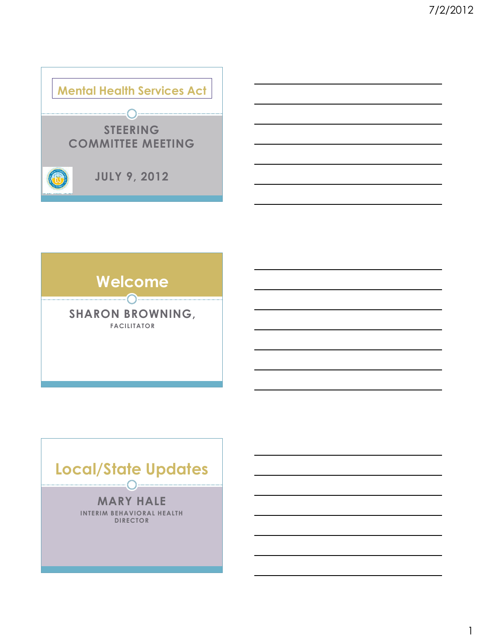





1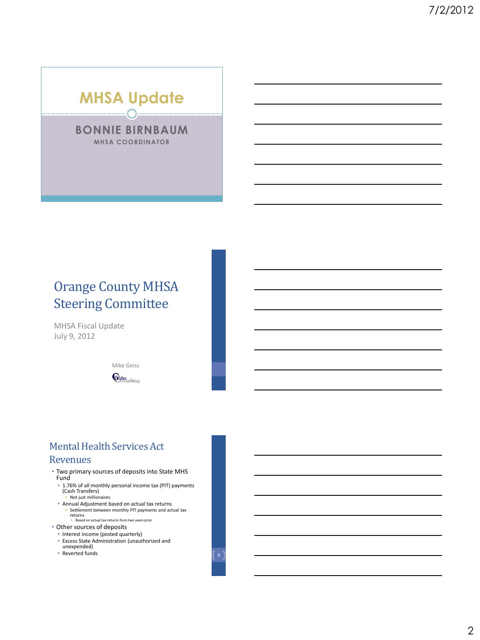# **MHSA Update**

**BONNIE BIRNBAUM MHSA COORDINATOR**

# Orange County MHSA Steering Committee

MHSA Fiscal Update July 9, 2012

> Mike Geiss Geiss<sub>cllting</sub>

## Mental Health Services Act Revenues

- Two primary sources of deposits into State MHS Fund
	- 1.76% of all monthly personal income tax (PIT) payments (Cash Transfers) • Not just millionaires
	- Annual Adjustment based on actual tax returns
	- Settlement between monthly PIT payments and actual tax returns • Based on actual tax returns from two years prior
- Other sources of deposits
- Interest income (posted quarterly)
- Excess State Administration (unauthorized and
- unexpended)
- Reverted funds  $\begin{bmatrix} 6 \end{bmatrix}$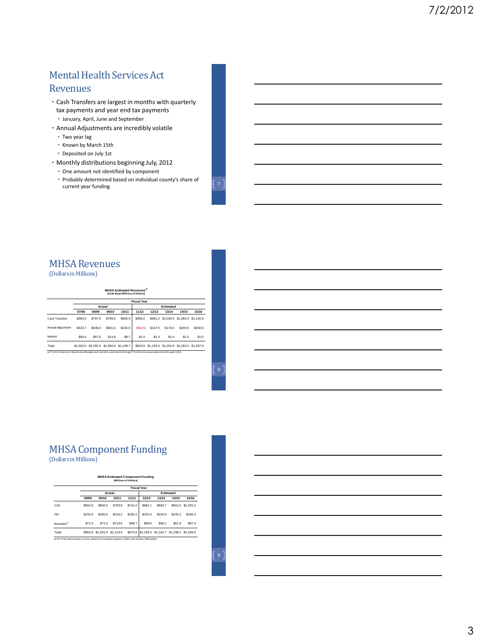# Mental Health Services Act

#### Revenues

- Cash Transfers are largest in months with quarterly tax payments and year end tax payments • January, April, June and September
- Annual Adjustments are incredibly volatile
	- Two year lag
	- Known by March 15th
	- Deposited on July 1st
- Monthly distributions beginning July, 2012
	- One amount not identified by component
	- Probably determined based on individual county's share of Probably determined based on individual county's share of  $\left(7\right)$

# MHSA Revenues

(Dollars in Millions)

| <b>IHSA Estimated Revenues<sup>a/</sup></b> |
|---------------------------------------------|
| (Cash Basis-Millions of Dollars)            |

|                   | <b>Fiscal Year</b> |                                         |         |         |           |         |         |                                                 |         |  |
|-------------------|--------------------|-----------------------------------------|---------|---------|-----------|---------|---------|-------------------------------------------------|---------|--|
|                   | Actual             |                                         |         |         | Estimated |         |         |                                                 |         |  |
|                   | 07/08              | 08/09                                   | 09/10   | 10/11   | 11/12     | 12/13   | 13/14   | 14/15                                           | 15/16   |  |
| Cash Transfers    | \$983.9            | S797.0                                  | \$799.0 | \$905.0 | \$906.0   |         |         | \$981.0 \$1.030.5 \$1.082.0 \$1.146.9           |         |  |
| Annual Adiustment | S423.7             | \$438.0                                 | \$581.0 | \$225.0 | (S64.5)   | \$157.0 | \$173.0 | \$200.0                                         | \$250.0 |  |
| Interest          | S94.4              | \$57.6                                  | S14.9   | \$9.7   | \$2.4     | \$1.3   | \$1.4   | \$1.0                                           | \$1.0   |  |
| Total             |                    | \$1,502.0 \$1,292.6 \$1,394.9 \$1,139.7 |         |         |           |         |         | \$843.9 \$1.139.3 \$1.204.9 \$1.283.0 \$1.397.9 |         |  |

#### MHSA Component Funding (Dollars in Millions)

**MHSA Estimated Component Funding**

|                          |         |                     |         |         | <b>Fiscal Year</b> |                               |         |           |  |
|--------------------------|---------|---------------------|---------|---------|--------------------|-------------------------------|---------|-----------|--|
|                          |         |                     | Actual  |         | Estimated          |                               |         |           |  |
|                          | 08/09   | 09/10               | 10/11   | 11/12   | 12/13              | 13/14                         | 14/15   | 15/16     |  |
| CSS                      | \$650.0 | \$900.0             | \$783.6 | \$741.0 | \$881.1            | \$883.7                       | \$941.0 | \$1,025.2 |  |
| PEI                      | \$232.6 | \$330.0             | \$216.2 | \$185.2 | \$220.3            | \$220.9                       | \$235.2 | \$256.3   |  |
| Innovation <sup>a/</sup> | \$71.0  | \$71.0              | \$119.6 | \$48.7  | \$58.0             | \$58.1                        | \$61.9  | \$67.4    |  |
| Total                    | \$953.6 | \$1,301.0 \$1,119.4 |         | \$974.9 |                    | \$1,159.3 \$1,162.7 \$1,238.1 |         | \$1,349.0 |  |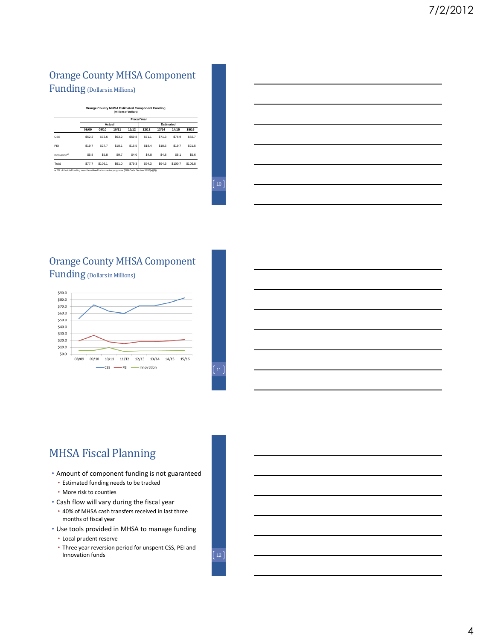## Orange County MHSA Component Funding (Dollars in Millions)

#### **Orange County MHSA Estimated Component Funding (Millions of Dollars)**

|                          |        |         |        | <b>Fiscal Year</b> |        |        |                  |                  |  |  |  |
|--------------------------|--------|---------|--------|--------------------|--------|--------|------------------|------------------|--|--|--|
|                          |        | Actual  |        |                    |        |        | Estimated        |                  |  |  |  |
|                          | 08/09  | 09/10   | 10/11  | 11/12              | 12/13  | 13/14  | 14/15            | 15/16            |  |  |  |
| CSS                      | \$52.2 | \$72.6  | \$63.2 | \$59.8             | \$71.1 | \$71.3 | \$75.9           | \$82.7           |  |  |  |
| PFI                      | \$19.7 | \$27.7  | \$18.1 | \$15.5             | \$18.4 | \$18.5 | \$19.7           | \$21.5           |  |  |  |
| Innovation <sup>a/</sup> | \$5.8  | \$5.8   | S9.7   | S4.0               | S4.8   | S4.8   | S <sub>5.1</sub> | S <sub>5.6</sub> |  |  |  |
| Total                    | \$77.7 | \$106.1 | \$91.0 | \$79.3             | \$94.3 | \$94.6 | \$100.7          | \$109.8          |  |  |  |

#### $(10)$

#### Orange County MHSA Component Funding (Dollars in Millions)





# MHSA Fiscal Planning

- Amount of component funding is not guaranteed
	- Estimated funding needs to be tracked
	- More risk to counties
- Cash flow will vary during the fiscal year
- 40% of MHSA cash transfers received in last three months of fiscal year
- Use tools provided in MHSA to manage funding
	- Local prudent reserve
	- Three year reversion period for unspent CSS, PEI and Innovation funds (12)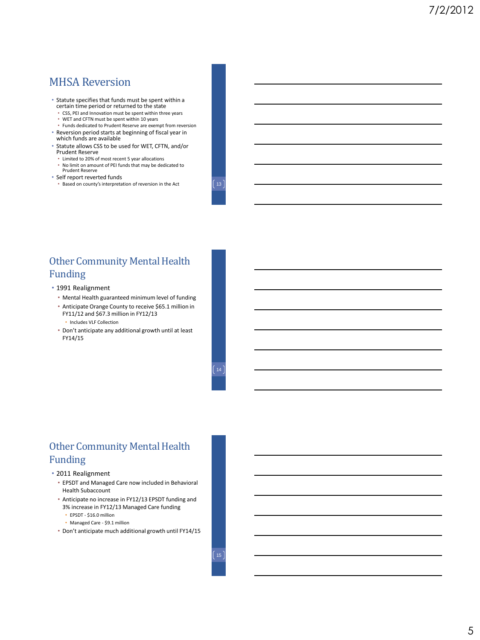### MHSA Reversion

• Statute specifies that funds must be spent within a certain time period or returned to the state

• CSS, PEI and Innovation must be spent within three years

- WET and CFTN must be spent within 10 years
- Funds dedicated to Prudent Reserve are exempt from reversion • Reversion period starts at beginning of fiscal year in
- which funds are available
- Statute allows CSS to be used for WET, CFTN, and/or Prudent Reserve
	- Limited to 20% of most recent 5 year allocations • No limit on amount of PEI funds that may be dedicated to Prudent Reserve
- Self report reverted funds
	- Based on county's interpretation of reversion in the Act  $\begin{bmatrix} 13 \end{bmatrix}$ 
		-

## Other Community Mental Health Funding

- 1991 Realignment
	- Mental Health guaranteed minimum level of funding
	- Anticipate Orange County to receive \$65.1 million in FY11/12 and \$67.3 million in FY12/13
		- Includes VLF Collection
	- Don't anticipate any additional growth until at least FY14/15

## Other Community Mental Health Funding

#### • 2011 Realignment

- EPSDT and Managed Care now included in Behavioral Health Subaccount
- Anticipate no increase in FY12/13 EPSDT funding and 3% increase in FY12/13 Managed Care funding
	- EPSDT \$16.0 million
	- Managed Care \$9.1 million
- Don't anticipate much additional growth until FY14/15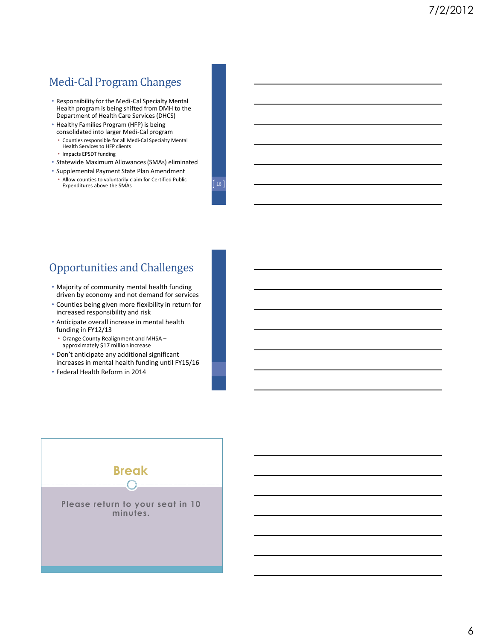# Medi-Cal Program Changes

- Responsibility for the Medi-Cal Specialty Mental Health program is being shifted from DMH to the Department of Health Care Services (DHCS)
- Healthy Families Program (HFP) is being consolidated into larger Medi-Cal program
	- Counties responsible for all Medi-Cal Specialty Mental Health Services to HFP clients
	- Impacts EPSDT funding
- Statewide Maximum Allowances (SMAs) eliminated
- Supplemental Payment State Plan Amendment
- Allow counties to voluntarily claim for Certified Public Expenditures above the SMAs

## Opportunities and Challenges

- Majority of community mental health funding driven by economy and not demand for services
- Counties being given more flexibility in return for increased responsibility and risk
- Anticipate overall increase in mental health funding in FY12/13
- Orange County Realignment and MHSA approximately \$17 million increase
- Don't anticipate any additional significant increases in mental health funding until FY15/16
- Federal Health Reform in 2014

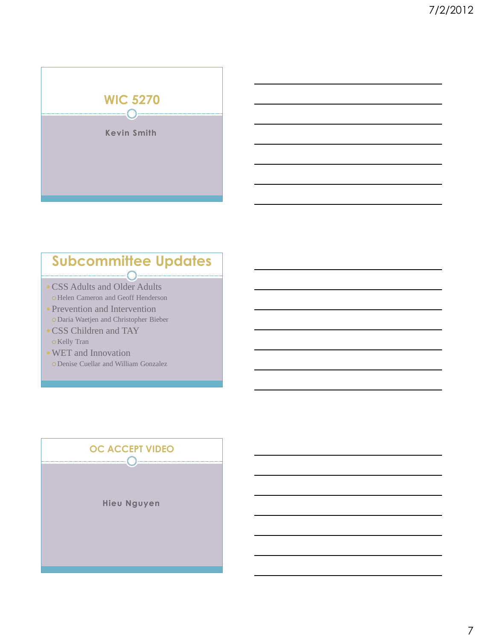| <b>WIC 5270</b>    |
|--------------------|
| ---------<br>      |
| <b>Kevin Smith</b> |
|                    |
|                    |
|                    |
|                    |

## **Subcommittee Updates**  $\bigcap$   $-$

- CSS Adults and Older Adults Helen Cameron and Geoff Henderson
- Prevention and Intervention Daria Waetjen and Christopher Bieber
- CSS Children and TAY o Kelly Tran
- WET and Innovation Denise Cuellar and William Gonzalez